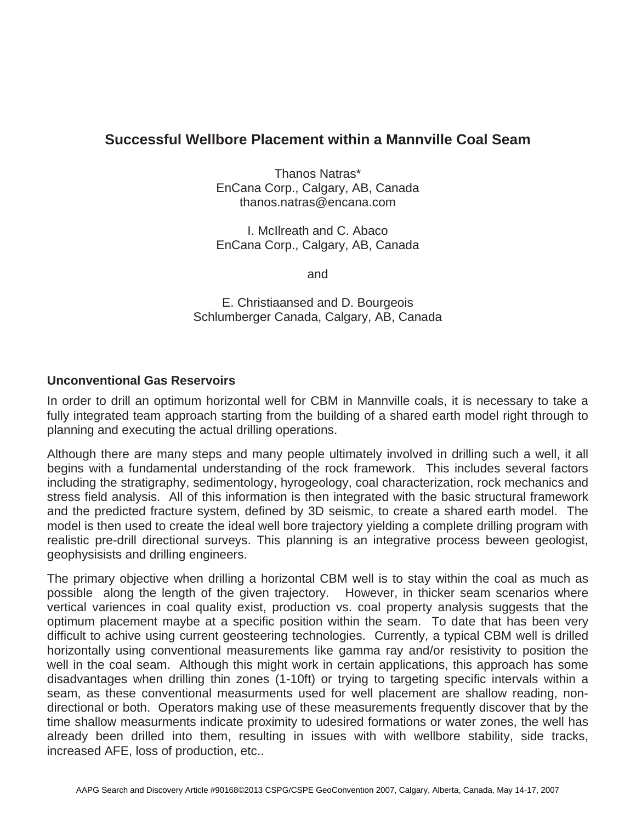## **Successful Wellbore Placement within a Mannville Coal Seam**

Thanos Natras\* EnCana Corp., Calgary, AB, Canada thanos.natras@encana.com

I. McIlreath and C. Abaco EnCana Corp., Calgary, AB, Canada

and

E. Christiaansed and D. Bourgeois Schlumberger Canada, Calgary, AB, Canada

## **Unconventional Gas Reservoirs**

In order to drill an optimum horizontal well for CBM in Mannville coals, it is necessary to take a fully integrated team approach starting from the building of a shared earth model right through to planning and executing the actual drilling operations.

Although there are many steps and many people ultimately involved in drilling such a well, it all begins with a fundamental understanding of the rock framework. This includes several factors including the stratigraphy, sedimentology, hyrogeology, coal characterization, rock mechanics and stress field analysis. All of this information is then integrated with the basic structural framework and the predicted fracture system, defined by 3D seismic, to create a shared earth model. The model is then used to create the ideal well bore trajectory yielding a complete drilling program with realistic pre-drill directional surveys. This planning is an integrative process beween geologist, geophysisists and drilling engineers.

The primary objective when drilling a horizontal CBM well is to stay within the coal as much as possible along the length of the given trajectory. However, in thicker seam scenarios where vertical variences in coal quality exist, production vs. coal property analysis suggests that the optimum placement maybe at a specific position within the seam. To date that has been very difficult to achive using current geosteering technologies. Currently, a typical CBM well is drilled horizontally using conventional measurements like gamma ray and/or resistivity to position the well in the coal seam. Although this might work in certain applications, this approach has some disadvantages when drilling thin zones (1-10ft) or trying to targeting specific intervals within a seam, as these conventional measurments used for well placement are shallow reading, nondirectional or both. Operators making use of these measurements frequently discover that by the time shallow measurments indicate proximity to udesired formations or water zones, the well has already been drilled into them, resulting in issues with with wellbore stability, side tracks, increased AFE, loss of production, etc..